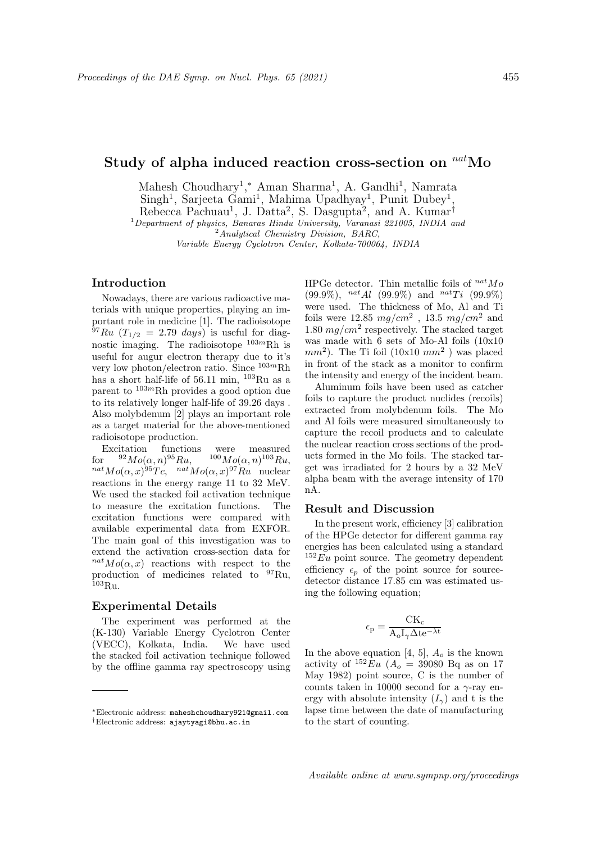# Study of alpha induced reaction cross-section on  $n^{nat}$ Mo

Mahesh Choudhary<sup>1</sup>,\* Aman Sharma<sup>1</sup>, A. Gandhi<sup>1</sup>, Namrata

Singh<sup>1</sup>, Sarjeeta Gami<sup>1</sup>, Mahima Upadhyay<sup>1</sup>, Punit Dubey<sup>1</sup>,

Rebecca Pachuau<sup>1</sup>, J. Datta<sup>2</sup>, S. Dasgupta<sup>2</sup>, and A. Kumar<sup>†</sup>

 $1$ Department of physics, Banaras Hindu University, Varanasi 221005, INDIA and

 $^{2}$ Analytical Chemistry Division, BARC,

Variable Energy Cyclotron Center, Kolkata-700064, INDIA

## Introduction

Nowadays, there are various radioactive materials with unique properties, playing an important role in medicine [1]. The radioisotope  $^{97}Ru$  (T<sub>1/2</sub> = 2.79 days) is useful for diagnostic imaging. The radioisotope  $103mRh$  is useful for augur electron therapy due to it's very low photon/electron ratio. Since  $^{103m}$ Rh has a short half-life of 56.11 min, <sup>103</sup>Ru as a parent to  $103m$ Rh provides a good option due to its relatively longer half-life of 39.26 days . Also molybdenum [2] plays an important role as a target material for the above-mentioned radioisotope production.

Excitation functions were measured<br>r  $^{92}Mo(\alpha, n)^{95}Ru$ ,  $^{100}Mo(\alpha, n)^{103}Ru$ , for  ${}^{92}Mo(\alpha, n){}^{95}Ru,$   ${}^{100}Mo(\alpha, n){}^{103}Ru,$  $n^{nat}Mo(\alpha, x)^{95}Te$ ,  $n^{nat}Mo(\alpha, x)^{97}Ru$  nuclear reactions in the energy range 11 to 32 MeV. We used the stacked foil activation technique to measure the excitation functions. The excitation functions were compared with available experimental data from EXFOR. The main goal of this investigation was to extend the activation cross-section data for  $n^{nat}Mo(\alpha, x)$  reactions with respect to the production of medicines related to <sup>97</sup>Ru,  $^{103}$ Ru.

#### Experimental Details

The experiment was performed at the (K-130) Variable Energy Cyclotron Center (VECC), Kolkata, India. We have used the stacked foil activation technique followed by the offline gamma ray spectroscopy using HPGe detector. Thin metallic foils of  $^{nat}Mo$  $(99.9\%)$ ,  $^{nat}Al$   $(99.9\%)$  and  $^{nat}Ti$   $(99.9\%)$ were used. The thickness of Mo, Al and Ti foils were 12.85  $mg/cm^2$  , 13.5  $mg/cm^2$  and 1.80  $mg/cm^2$  respectively. The stacked target was made with 6 sets of Mo-Al foils (10x10  $mm^2$ ). The Ti foil (10x10  $mm^2$ ) was placed in front of the stack as a monitor to confirm the intensity and energy of the incident beam.

Aluminum foils have been used as catcher foils to capture the product nuclides (recoils) extracted from molybdenum foils. The Mo and Al foils were measured simultaneously to capture the recoil products and to calculate the nuclear reaction cross sections of the products formed in the Mo foils. The stacked target was irradiated for 2 hours by a 32 MeV alpha beam with the average intensity of 170 nA.

#### Result and Discussion

In the present work, efficiency [3] calibration of the HPGe detector for different gamma ray energies has been calculated using a standard  $152 \, \text{Eu}$  point source. The geometry dependent efficiency  $\epsilon_n$  of the point sourcedetector distance 17.85 cm was estimated using the following equation;

$$
\epsilon_{\rm p} = \frac{CK_{\rm c}}{A_{\rm o}I_{\gamma}\Delta t{\rm e}^{-\lambda t}}
$$

In the above equation [4, 5],  $A_o$  is the known activity of  $^{152}Eu$  ( $A_o = 39080$  Bq as on 17 May 1982) point source, C is the number of counts taken in 10000 second for a  $\gamma$ -ray energy with absolute intensity  $(I_{\gamma})$  and t is the lapse time between the date of manufacturing to the start of counting.

<sup>∗</sup>Electronic address: maheshchoudhary921@gmail.com †Electronic address: ajaytyagi@bhu.ac.in